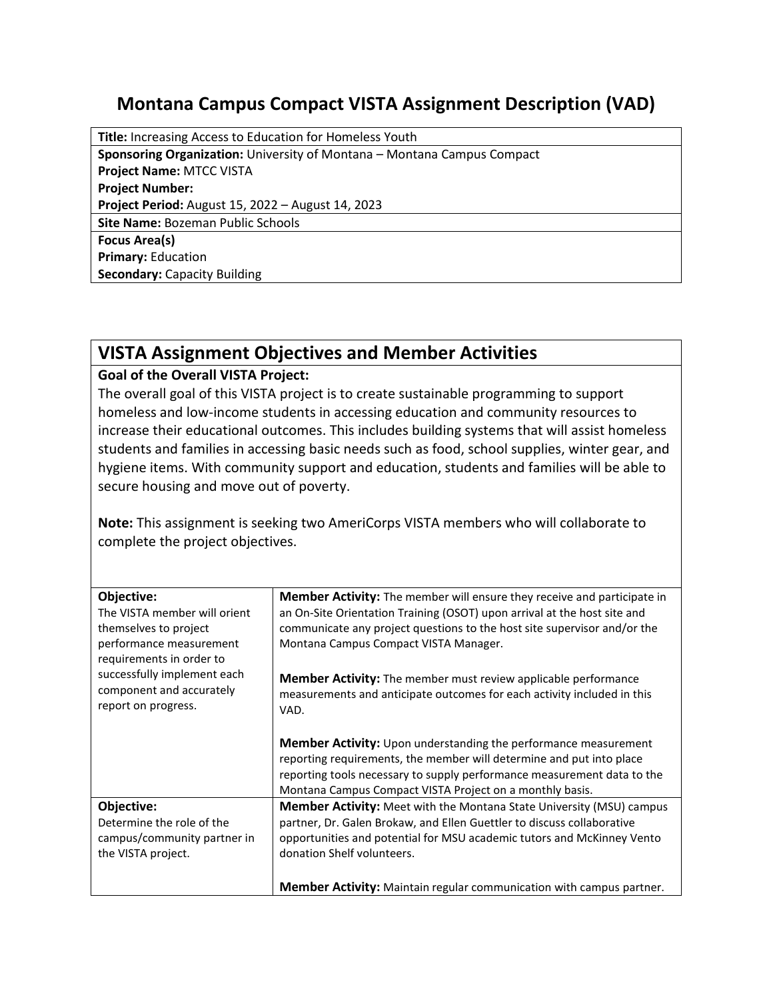## **Montana Campus Compact VISTA Assignment Description (VAD)**

**Title:** Increasing Access to Education for Homeless Youth **Sponsoring Organization:** University of Montana – Montana Campus Compact **Project Name:** MTCC VISTA **Project Number: Project Period:** August 15, 2022 – August 14, 2023 **Site Name:** Bozeman Public Schools **Focus Area(s) Primary:** Education **Secondary:** Capacity Building

## **VISTA Assignment Objectives and Member Activities**

## **Goal of the Overall VISTA Project:**

The overall goal of this VISTA project is to create sustainable programming to support homeless and low-income students in accessing education and community resources to increase their educational outcomes. This includes building systems that will assist homeless students and families in accessing basic needs such as food, school supplies, winter gear, and hygiene items. With community support and education, students and families will be able to secure housing and move out of poverty.

**Note:** This assignment is seeking two AmeriCorps VISTA members who will collaborate to complete the project objectives.

| Objective:<br>The VISTA member will orient<br>themselves to project<br>performance measurement<br>requirements in order to | <b>Member Activity:</b> The member will ensure they receive and participate in<br>an On-Site Orientation Training (OSOT) upon arrival at the host site and<br>communicate any project questions to the host site supervisor and/or the<br>Montana Campus Compact VISTA Manager.       |
|----------------------------------------------------------------------------------------------------------------------------|---------------------------------------------------------------------------------------------------------------------------------------------------------------------------------------------------------------------------------------------------------------------------------------|
| successfully implement each<br>component and accurately<br>report on progress.                                             | <b>Member Activity:</b> The member must review applicable performance<br>measurements and anticipate outcomes for each activity included in this<br>VAD.                                                                                                                              |
|                                                                                                                            | <b>Member Activity:</b> Upon understanding the performance measurement<br>reporting requirements, the member will determine and put into place<br>reporting tools necessary to supply performance measurement data to the<br>Montana Campus Compact VISTA Project on a monthly basis. |
| Objective:<br>Determine the role of the<br>campus/community partner in<br>the VISTA project.                               | <b>Member Activity:</b> Meet with the Montana State University (MSU) campus<br>partner, Dr. Galen Brokaw, and Ellen Guettler to discuss collaborative<br>opportunities and potential for MSU academic tutors and McKinney Vento<br>donation Shelf volunteers.                         |
|                                                                                                                            | <b>Member Activity:</b> Maintain regular communication with campus partner.                                                                                                                                                                                                           |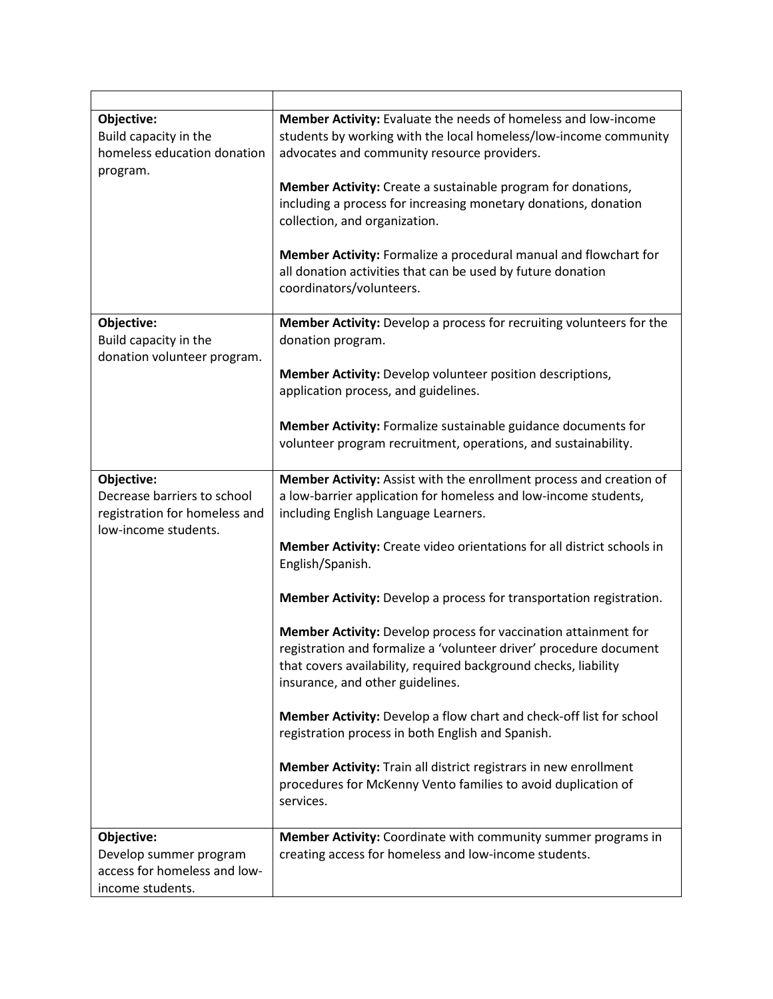| Objective:<br>Build capacity in the<br>homeless education donation<br>program.                     | Member Activity: Evaluate the needs of homeless and low-income<br>students by working with the local homeless/low-income community<br>advocates and community resource providers.                                                            |
|----------------------------------------------------------------------------------------------------|----------------------------------------------------------------------------------------------------------------------------------------------------------------------------------------------------------------------------------------------|
|                                                                                                    | Member Activity: Create a sustainable program for donations,<br>including a process for increasing monetary donations, donation<br>collection, and organization.                                                                             |
|                                                                                                    | Member Activity: Formalize a procedural manual and flowchart for<br>all donation activities that can be used by future donation<br>coordinators/volunteers.                                                                                  |
| Objective:<br>Build capacity in the                                                                | Member Activity: Develop a process for recruiting volunteers for the<br>donation program.                                                                                                                                                    |
| donation volunteer program.                                                                        | Member Activity: Develop volunteer position descriptions,<br>application process, and guidelines.                                                                                                                                            |
|                                                                                                    | Member Activity: Formalize sustainable guidance documents for<br>volunteer program recruitment, operations, and sustainability.                                                                                                              |
| Objective:<br>Decrease barriers to school<br>registration for homeless and<br>low-income students. | Member Activity: Assist with the enrollment process and creation of<br>a low-barrier application for homeless and low-income students,<br>including English Language Learners.                                                               |
|                                                                                                    | Member Activity: Create video orientations for all district schools in<br>English/Spanish.                                                                                                                                                   |
|                                                                                                    | Member Activity: Develop a process for transportation registration.                                                                                                                                                                          |
|                                                                                                    | Member Activity: Develop process for vaccination attainment for<br>registration and formalize a 'volunteer driver' procedure document<br>that covers availability, required background checks, liability<br>insurance, and other guidelines. |
|                                                                                                    | Member Activity: Develop a flow chart and check-off list for school<br>registration process in both English and Spanish.                                                                                                                     |
|                                                                                                    | Member Activity: Train all district registrars in new enrollment<br>procedures for McKenny Vento families to avoid duplication of<br>services.                                                                                               |
| Objective:<br>Develop summer program<br>access for homeless and low-<br>income students.           | Member Activity: Coordinate with community summer programs in<br>creating access for homeless and low-income students.                                                                                                                       |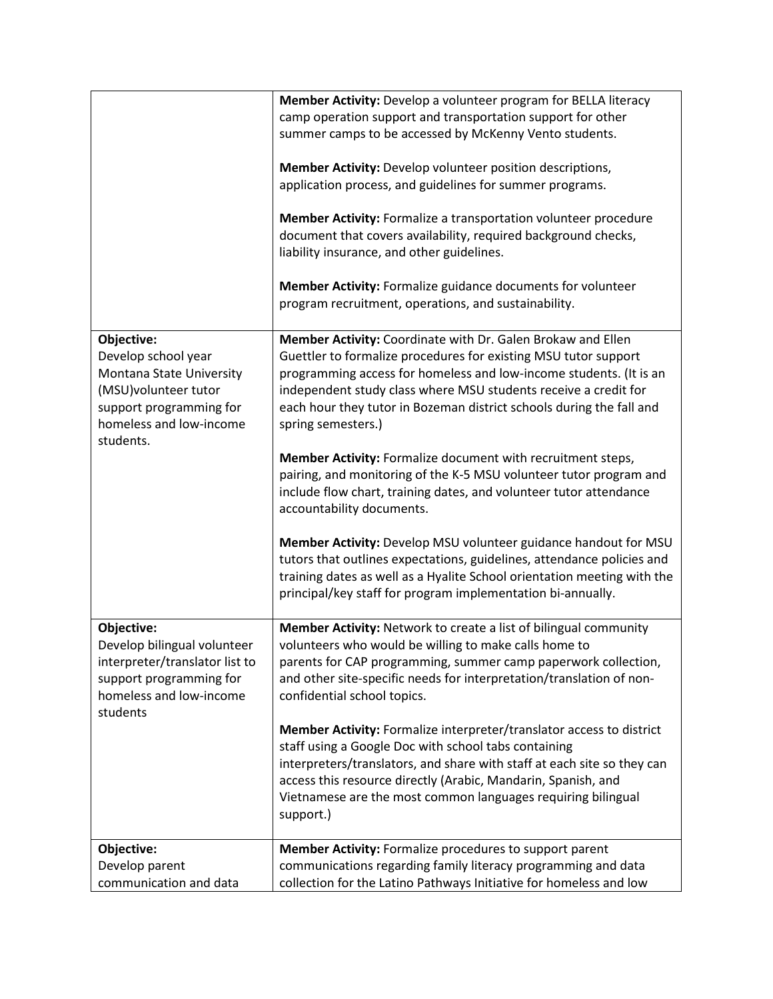|                                           | Member Activity: Develop a volunteer program for BELLA literacy                                                                |
|-------------------------------------------|--------------------------------------------------------------------------------------------------------------------------------|
|                                           | camp operation support and transportation support for other                                                                    |
|                                           | summer camps to be accessed by McKenny Vento students.                                                                         |
|                                           |                                                                                                                                |
|                                           | Member Activity: Develop volunteer position descriptions,<br>application process, and guidelines for summer programs.          |
|                                           |                                                                                                                                |
|                                           | Member Activity: Formalize a transportation volunteer procedure                                                                |
|                                           | document that covers availability, required background checks,                                                                 |
|                                           | liability insurance, and other guidelines.                                                                                     |
|                                           |                                                                                                                                |
|                                           | Member Activity: Formalize guidance documents for volunteer                                                                    |
|                                           | program recruitment, operations, and sustainability.                                                                           |
|                                           |                                                                                                                                |
| Objective:<br>Develop school year         | Member Activity: Coordinate with Dr. Galen Brokaw and Ellen<br>Guettler to formalize procedures for existing MSU tutor support |
| Montana State University                  | programming access for homeless and low-income students. (It is an                                                             |
| (MSU)volunteer tutor                      | independent study class where MSU students receive a credit for                                                                |
| support programming for                   | each hour they tutor in Bozeman district schools during the fall and                                                           |
| homeless and low-income                   | spring semesters.)                                                                                                             |
| students.                                 |                                                                                                                                |
|                                           | Member Activity: Formalize document with recruitment steps,                                                                    |
|                                           | pairing, and monitoring of the K-5 MSU volunteer tutor program and                                                             |
|                                           | include flow chart, training dates, and volunteer tutor attendance                                                             |
|                                           | accountability documents.                                                                                                      |
|                                           | Member Activity: Develop MSU volunteer guidance handout for MSU                                                                |
|                                           | tutors that outlines expectations, guidelines, attendance policies and                                                         |
|                                           | training dates as well as a Hyalite School orientation meeting with the                                                        |
|                                           | principal/key staff for program implementation bi-annually.                                                                    |
|                                           |                                                                                                                                |
| Objective:<br>Develop bilingual volunteer | Member Activity: Network to create a list of bilingual community<br>volunteers who would be willing to make calls home to      |
| interpreter/translator list to            | parents for CAP programming, summer camp paperwork collection,                                                                 |
| support programming for                   | and other site-specific needs for interpretation/translation of non-                                                           |
| homeless and low-income                   | confidential school topics.                                                                                                    |
| students                                  |                                                                                                                                |
|                                           | Member Activity: Formalize interpreter/translator access to district                                                           |
|                                           | staff using a Google Doc with school tabs containing                                                                           |
|                                           | interpreters/translators, and share with staff at each site so they can                                                        |
|                                           | access this resource directly (Arabic, Mandarin, Spanish, and                                                                  |
|                                           | Vietnamese are the most common languages requiring bilingual                                                                   |
|                                           | support.)                                                                                                                      |
| Objective:                                | Member Activity: Formalize procedures to support parent                                                                        |
| Develop parent                            | communications regarding family literacy programming and data                                                                  |
| communication and data                    | collection for the Latino Pathways Initiative for homeless and low                                                             |